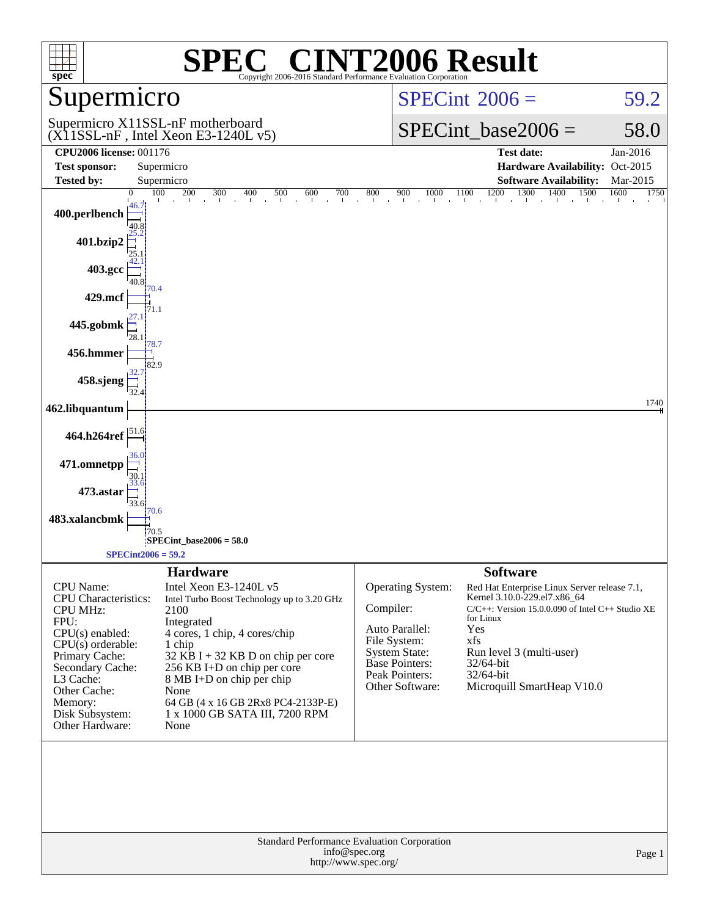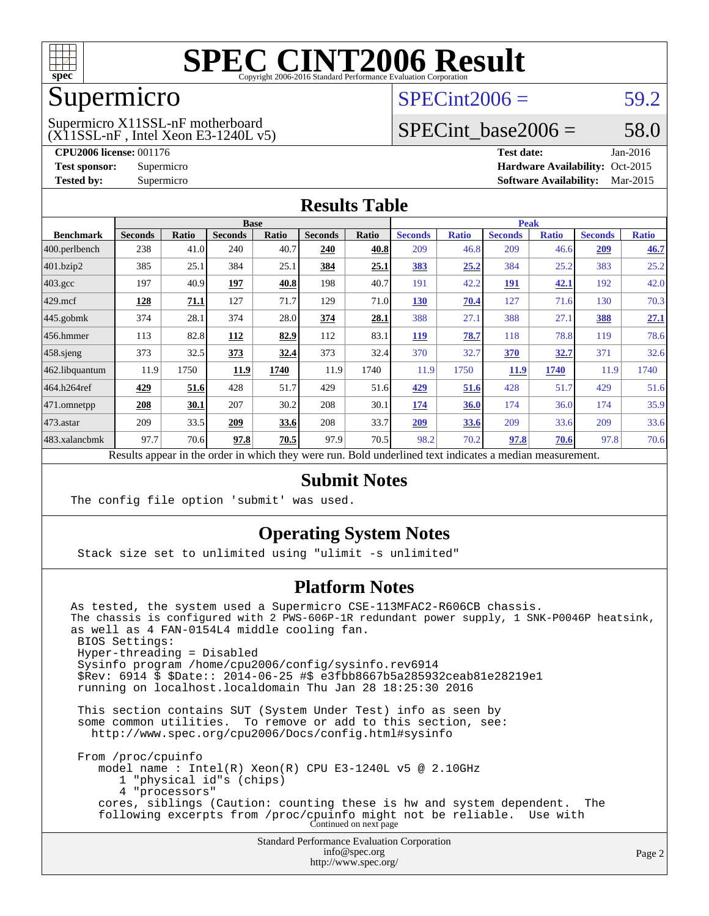

### Supermicro

## $SPECint2006 = 59.2$  $SPECint2006 = 59.2$

 $(X11SSL-nF$ , Intel Xeon E3-1240L v5) Supermicro X11SSL-nF motherboard

SPECint base2006 =  $58.0$ 

**[CPU2006 license:](http://www.spec.org/auto/cpu2006/Docs/result-fields.html#CPU2006license)** 001176 **[Test date:](http://www.spec.org/auto/cpu2006/Docs/result-fields.html#Testdate)** Jan-2016 **[Test sponsor:](http://www.spec.org/auto/cpu2006/Docs/result-fields.html#Testsponsor)** Supermicro Supermicro **[Hardware Availability:](http://www.spec.org/auto/cpu2006/Docs/result-fields.html#HardwareAvailability)** Oct-2015 **[Tested by:](http://www.spec.org/auto/cpu2006/Docs/result-fields.html#Testedby)** Supermicro **Supermicro [Software Availability:](http://www.spec.org/auto/cpu2006/Docs/result-fields.html#SoftwareAvailability)** Mar-2015

### **[Results Table](http://www.spec.org/auto/cpu2006/Docs/result-fields.html#ResultsTable)**

|                    | <b>Base</b>                 |              |                |                         |                |       | <b>Peak</b>                                                                                                                                                                                                                                                                                      |                |                |              |                |              |
|--------------------|-----------------------------|--------------|----------------|-------------------------|----------------|-------|--------------------------------------------------------------------------------------------------------------------------------------------------------------------------------------------------------------------------------------------------------------------------------------------------|----------------|----------------|--------------|----------------|--------------|
| <b>Benchmark</b>   | <b>Seconds</b>              | <b>Ratio</b> | <b>Seconds</b> | Ratio                   | <b>Seconds</b> | Ratio | <b>Seconds</b>                                                                                                                                                                                                                                                                                   | <b>Ratio</b>   | <b>Seconds</b> | <b>Ratio</b> | <b>Seconds</b> | <b>Ratio</b> |
| $ 400$ .perlbench  | 238                         | 41.0         | 240            | 40.7                    | 240            | 40.8  | 209                                                                                                                                                                                                                                                                                              | 46.8           | 209            | 46.6         | 209            | 46.7         |
| 401.bzip2          | 385                         | 25.1         | 384            | 25.1                    | 384            | 25.1  | <b>383</b>                                                                                                                                                                                                                                                                                       | 25.2           | 384            | 25.2         | 383            | 25.2         |
| $403.\mathrm{gcc}$ | 197                         | 40.9         | 197            | 40.8                    | 198            | 40.7  | 191                                                                                                                                                                                                                                                                                              | 42.2           | <u>191</u>     | <u>42.1</u>  | 192            | 42.0         |
| $429$ .mcf         | 128                         | 71.1         | 127            | 71.7                    | 129            | 71.0  | 130                                                                                                                                                                                                                                                                                              | 70.4           | 127            | 71.6         | 130            | 70.3         |
| $445$ .gobmk       | 374                         | 28.1         | 374            | 28.0                    | 374            | 28.1  | 388                                                                                                                                                                                                                                                                                              | 27.1           | 388            | 27.1         | 388            | 27.1         |
| $456.$ hmmer       | 113                         | 82.8         | 112            | 82.9                    | 112            | 83.1  | <b>119</b>                                                                                                                                                                                                                                                                                       | 78.7           | 118            | 78.8         | 119            | 78.6         |
| $458$ .sjeng       | 373                         | 32.5         | 373            | 32.4                    | 373            | 32.4  | 370                                                                                                                                                                                                                                                                                              | 32.7           | 370            | 32.7         | 371            | 32.6         |
| 462.libquantum     | 11.9                        | 1750         | 11.9           | 1740                    | 11.9           | 1740  | 11.9                                                                                                                                                                                                                                                                                             | 1750           | 11.9           | 1740         | 11.9           | 1740         |
| 464.h264ref        | 429                         | 51.6         | 428            | 51.7                    | 429            | 51.6  | 429                                                                                                                                                                                                                                                                                              | 51.6           | 428            | 51.7         | 429            | 51.6         |
| 471.omnetpp        | 208                         | 30.1         | 207            | 30.2                    | 208            | 30.1  | <u>174</u>                                                                                                                                                                                                                                                                                       | 36.0           | 174            | 36.0         | 174            | 35.9         |
| $473$ . astar      | 209                         | 33.5         | 209            | 33.6                    | 208            | 33.7  | 209                                                                                                                                                                                                                                                                                              | 33.6           | 209            | 33.6         | 209            | 33.6         |
| 483.xalancbmk      | 97.7                        | 70.6         | 97.8           | 70.5                    | 97.9           | 70.5  | 98.2                                                                                                                                                                                                                                                                                             | 70.2           | 97.8           | 70.6         | 97.8           | 70.6         |
|                    | $\mathbf{D}$ . $\mathbf{1}$ | t., 11.      |                | 1.3.1<br>$\overline{1}$ |                |       | $\mathbf{D}$ and $\mathbf{I}$ and $\mathbf{I}$ and $\mathbf{I}$ are $\mathbf{I}$ and $\mathbf{I}$ are $\mathbf{I}$ and $\mathbf{I}$ are $\mathbf{I}$ and $\mathbf{I}$ are $\mathbf{I}$ and $\mathbf{I}$ are $\mathbf{I}$ and $\mathbf{I}$ are $\mathbf{I}$ and $\mathbf{I}$ are $\mathbf{I}$ and | $-11 - 11 - 1$ |                |              |                |              |

Results appear in the [order in which they were run.](http://www.spec.org/auto/cpu2006/Docs/result-fields.html#RunOrder) Bold underlined text [indicates a median measurement.](http://www.spec.org/auto/cpu2006/Docs/result-fields.html#Median)

#### **[Submit Notes](http://www.spec.org/auto/cpu2006/Docs/result-fields.html#SubmitNotes)**

The config file option 'submit' was used.

### **[Operating System Notes](http://www.spec.org/auto/cpu2006/Docs/result-fields.html#OperatingSystemNotes)**

Stack size set to unlimited using "ulimit -s unlimited"

### **[Platform Notes](http://www.spec.org/auto/cpu2006/Docs/result-fields.html#PlatformNotes)**

Standard Performance Evaluation Corporation As tested, the system used a Supermicro CSE-113MFAC2-R606CB chassis. The chassis is configured with 2 PWS-606P-1R redundant power supply, 1 SNK-P0046P heatsink, as well as 4 FAN-0154L4 middle cooling fan. BIOS Settings: Hyper-threading = Disabled Sysinfo program /home/cpu2006/config/sysinfo.rev6914 \$Rev: 6914 \$ \$Date:: 2014-06-25 #\$ e3fbb8667b5a285932ceab81e28219e1 running on localhost.localdomain Thu Jan 28 18:25:30 2016 This section contains SUT (System Under Test) info as seen by some common utilities. To remove or add to this section, see: <http://www.spec.org/cpu2006/Docs/config.html#sysinfo> From /proc/cpuinfo model name : Intel(R) Xeon(R) CPU E3-1240L v5 @ 2.10GHz 1 "physical id"s (chips) 4 "processors" cores, siblings (Caution: counting these is hw and system dependent. The following excerpts from /proc/cpuinfo might not be reliable. Use with Continued on next page

[info@spec.org](mailto:info@spec.org) <http://www.spec.org/>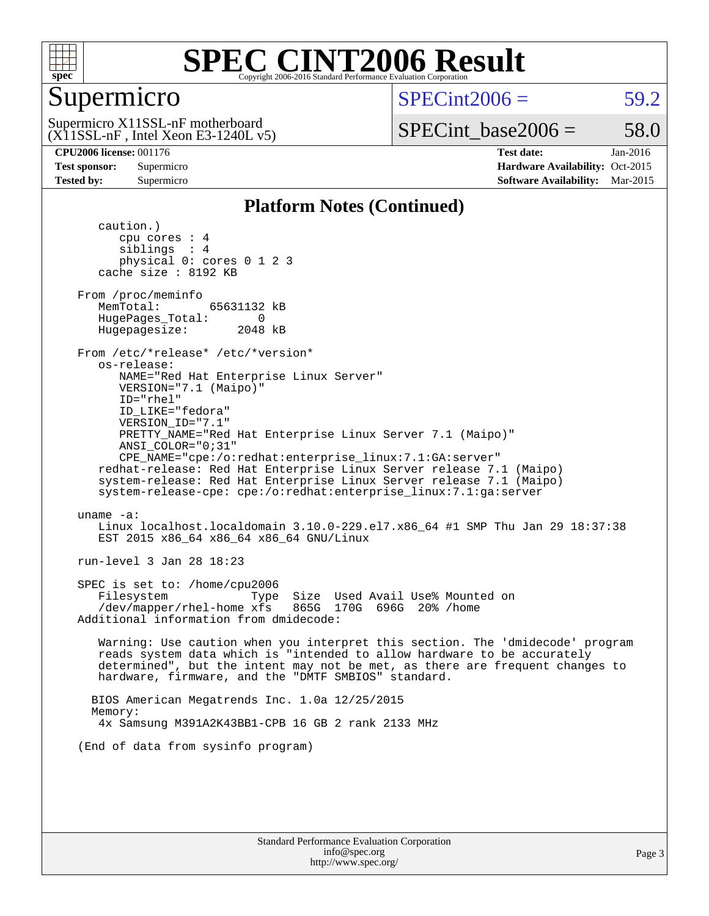

### Supermicro

 $SPECint2006 = 59.2$  $SPECint2006 = 59.2$ 

 $(X11SSL-nF$ , Intel Xeon E3-1240L v5) Supermicro X11SSL-nF motherboard

SPECint base2006 =  $58.0$ 

**[CPU2006 license:](http://www.spec.org/auto/cpu2006/Docs/result-fields.html#CPU2006license)** 001176 **[Test date:](http://www.spec.org/auto/cpu2006/Docs/result-fields.html#Testdate)** Jan-2016 **[Test sponsor:](http://www.spec.org/auto/cpu2006/Docs/result-fields.html#Testsponsor)** Supermicro Supermicro **[Hardware Availability:](http://www.spec.org/auto/cpu2006/Docs/result-fields.html#HardwareAvailability)** Oct-2015 **[Tested by:](http://www.spec.org/auto/cpu2006/Docs/result-fields.html#Testedby)** Supermicro **Supermicro [Software Availability:](http://www.spec.org/auto/cpu2006/Docs/result-fields.html#SoftwareAvailability)** Mar-2015

### **[Platform Notes \(Continued\)](http://www.spec.org/auto/cpu2006/Docs/result-fields.html#PlatformNotes)**

 caution.) cpu cores : 4 siblings : 4 physical 0: cores 0 1 2 3 cache size : 8192 KB From /proc/meminfo MemTotal: 65631132 kB HugePages\_Total: 0<br>Hugepagesize: 2048 kB Hugepagesize: From /etc/\*release\* /etc/\*version\* os-release: NAME="Red Hat Enterprise Linux Server" VERSION="7.1 (Maipo)" ID="rhel" ID\_LIKE="fedora" VERSION\_ID="7.1" PRETTY\_NAME="Red Hat Enterprise Linux Server 7.1 (Maipo)" ANSI\_COLOR="0;31" CPE\_NAME="cpe:/o:redhat:enterprise\_linux:7.1:GA:server" redhat-release: Red Hat Enterprise Linux Server release 7.1 (Maipo) system-release: Red Hat Enterprise Linux Server release 7.1 (Maipo) system-release-cpe: cpe:/o:redhat:enterprise\_linux:7.1:ga:server uname -a: Linux localhost.localdomain 3.10.0-229.el7.x86\_64 #1 SMP Thu Jan 29 18:37:38 EST 2015 x86\_64 x86\_64 x86\_64 GNU/Linux run-level 3 Jan 28 18:23 SPEC is set to: /home/cpu2006 Filesystem Type Size Used Avail Use% Mounted on<br>
/dev/mapper/rhel-home xfs 865G 170G 696G 20% /home  $/$ dev/mapper/rhel-home xfs Additional information from dmidecode: Warning: Use caution when you interpret this section. The 'dmidecode' program reads system data which is "intended to allow hardware to be accurately determined", but the intent may not be met, as there are frequent changes to hardware, firmware, and the "DMTF SMBIOS" standard. BIOS American Megatrends Inc. 1.0a 12/25/2015 Memory: 4x Samsung M391A2K43BB1-CPB 16 GB 2 rank 2133 MHz (End of data from sysinfo program)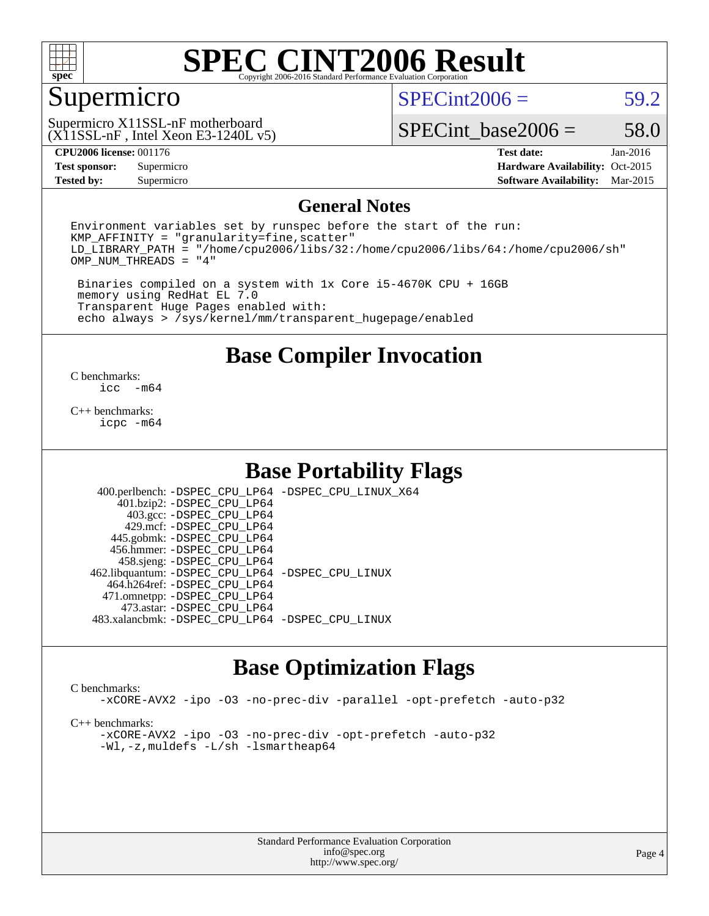

### Supermicro

 $SPECint2006 = 59.2$  $SPECint2006 = 59.2$ 

 $(X11SSL-nF$ , Intel Xeon E3-1240L v5) Supermicro X11SSL-nF motherboard

SPECint base2006 =  $58.0$ 

**[Tested by:](http://www.spec.org/auto/cpu2006/Docs/result-fields.html#Testedby)** Supermicro **Supermicro [Software Availability:](http://www.spec.org/auto/cpu2006/Docs/result-fields.html#SoftwareAvailability)** Mar-2015

**[CPU2006 license:](http://www.spec.org/auto/cpu2006/Docs/result-fields.html#CPU2006license)** 001176 **[Test date:](http://www.spec.org/auto/cpu2006/Docs/result-fields.html#Testdate)** Jan-2016 **[Test sponsor:](http://www.spec.org/auto/cpu2006/Docs/result-fields.html#Testsponsor)** Supermicro Supermicro **[Hardware Availability:](http://www.spec.org/auto/cpu2006/Docs/result-fields.html#HardwareAvailability)** Oct-2015

#### **[General Notes](http://www.spec.org/auto/cpu2006/Docs/result-fields.html#GeneralNotes)**

Environment variables set by runspec before the start of the run:  $KMP$  AFFINITY = "granularity=fine, scatter" LD\_LIBRARY\_PATH = "/home/cpu2006/libs/32:/home/cpu2006/libs/64:/home/cpu2006/sh" OMP\_NUM\_THREADS = "4"

 Binaries compiled on a system with 1x Core i5-4670K CPU + 16GB memory using RedHat EL 7.0 Transparent Huge Pages enabled with: echo always > /sys/kernel/mm/transparent\_hugepage/enabled

**[Base Compiler Invocation](http://www.spec.org/auto/cpu2006/Docs/result-fields.html#BaseCompilerInvocation)**

 $\frac{C \text{ benchmarks:}}{C \text{ C}}$ -m64

[C++ benchmarks:](http://www.spec.org/auto/cpu2006/Docs/result-fields.html#CXXbenchmarks) [icpc -m64](http://www.spec.org/cpu2006/results/res2016q1/cpu2006-20160206-38988.flags.html#user_CXXbase_intel_icpc_64bit_fc66a5337ce925472a5c54ad6a0de310)

### **[Base Portability Flags](http://www.spec.org/auto/cpu2006/Docs/result-fields.html#BasePortabilityFlags)**

 400.perlbench: [-DSPEC\\_CPU\\_LP64](http://www.spec.org/cpu2006/results/res2016q1/cpu2006-20160206-38988.flags.html#b400.perlbench_basePORTABILITY_DSPEC_CPU_LP64) [-DSPEC\\_CPU\\_LINUX\\_X64](http://www.spec.org/cpu2006/results/res2016q1/cpu2006-20160206-38988.flags.html#b400.perlbench_baseCPORTABILITY_DSPEC_CPU_LINUX_X64) 401.bzip2: [-DSPEC\\_CPU\\_LP64](http://www.spec.org/cpu2006/results/res2016q1/cpu2006-20160206-38988.flags.html#suite_basePORTABILITY401_bzip2_DSPEC_CPU_LP64) 403.gcc: [-DSPEC\\_CPU\\_LP64](http://www.spec.org/cpu2006/results/res2016q1/cpu2006-20160206-38988.flags.html#suite_basePORTABILITY403_gcc_DSPEC_CPU_LP64) 429.mcf: [-DSPEC\\_CPU\\_LP64](http://www.spec.org/cpu2006/results/res2016q1/cpu2006-20160206-38988.flags.html#suite_basePORTABILITY429_mcf_DSPEC_CPU_LP64) 445.gobmk: [-DSPEC\\_CPU\\_LP64](http://www.spec.org/cpu2006/results/res2016q1/cpu2006-20160206-38988.flags.html#suite_basePORTABILITY445_gobmk_DSPEC_CPU_LP64) 456.hmmer: [-DSPEC\\_CPU\\_LP64](http://www.spec.org/cpu2006/results/res2016q1/cpu2006-20160206-38988.flags.html#suite_basePORTABILITY456_hmmer_DSPEC_CPU_LP64) 458.sjeng: [-DSPEC\\_CPU\\_LP64](http://www.spec.org/cpu2006/results/res2016q1/cpu2006-20160206-38988.flags.html#suite_basePORTABILITY458_sjeng_DSPEC_CPU_LP64) 462.libquantum: [-DSPEC\\_CPU\\_LP64](http://www.spec.org/cpu2006/results/res2016q1/cpu2006-20160206-38988.flags.html#suite_basePORTABILITY462_libquantum_DSPEC_CPU_LP64) [-DSPEC\\_CPU\\_LINUX](http://www.spec.org/cpu2006/results/res2016q1/cpu2006-20160206-38988.flags.html#b462.libquantum_baseCPORTABILITY_DSPEC_CPU_LINUX) 464.h264ref: [-DSPEC\\_CPU\\_LP64](http://www.spec.org/cpu2006/results/res2016q1/cpu2006-20160206-38988.flags.html#suite_basePORTABILITY464_h264ref_DSPEC_CPU_LP64) 471.omnetpp: [-DSPEC\\_CPU\\_LP64](http://www.spec.org/cpu2006/results/res2016q1/cpu2006-20160206-38988.flags.html#suite_basePORTABILITY471_omnetpp_DSPEC_CPU_LP64) 473.astar: [-DSPEC\\_CPU\\_LP64](http://www.spec.org/cpu2006/results/res2016q1/cpu2006-20160206-38988.flags.html#suite_basePORTABILITY473_astar_DSPEC_CPU_LP64) 483.xalancbmk: [-DSPEC\\_CPU\\_LP64](http://www.spec.org/cpu2006/results/res2016q1/cpu2006-20160206-38988.flags.html#suite_basePORTABILITY483_xalancbmk_DSPEC_CPU_LP64) [-DSPEC\\_CPU\\_LINUX](http://www.spec.org/cpu2006/results/res2016q1/cpu2006-20160206-38988.flags.html#b483.xalancbmk_baseCXXPORTABILITY_DSPEC_CPU_LINUX)

## **[Base Optimization Flags](http://www.spec.org/auto/cpu2006/Docs/result-fields.html#BaseOptimizationFlags)**

[C benchmarks](http://www.spec.org/auto/cpu2006/Docs/result-fields.html#Cbenchmarks):

[-xCORE-AVX2](http://www.spec.org/cpu2006/results/res2016q1/cpu2006-20160206-38988.flags.html#user_CCbase_f-xAVX2_5f5fc0cbe2c9f62c816d3e45806c70d7) [-ipo](http://www.spec.org/cpu2006/results/res2016q1/cpu2006-20160206-38988.flags.html#user_CCbase_f-ipo) [-O3](http://www.spec.org/cpu2006/results/res2016q1/cpu2006-20160206-38988.flags.html#user_CCbase_f-O3) [-no-prec-div](http://www.spec.org/cpu2006/results/res2016q1/cpu2006-20160206-38988.flags.html#user_CCbase_f-no-prec-div) [-parallel](http://www.spec.org/cpu2006/results/res2016q1/cpu2006-20160206-38988.flags.html#user_CCbase_f-parallel) [-opt-prefetch](http://www.spec.org/cpu2006/results/res2016q1/cpu2006-20160206-38988.flags.html#user_CCbase_f-opt-prefetch) [-auto-p32](http://www.spec.org/cpu2006/results/res2016q1/cpu2006-20160206-38988.flags.html#user_CCbase_f-auto-p32)

[C++ benchmarks:](http://www.spec.org/auto/cpu2006/Docs/result-fields.html#CXXbenchmarks)

[-xCORE-AVX2](http://www.spec.org/cpu2006/results/res2016q1/cpu2006-20160206-38988.flags.html#user_CXXbase_f-xAVX2_5f5fc0cbe2c9f62c816d3e45806c70d7) [-ipo](http://www.spec.org/cpu2006/results/res2016q1/cpu2006-20160206-38988.flags.html#user_CXXbase_f-ipo) [-O3](http://www.spec.org/cpu2006/results/res2016q1/cpu2006-20160206-38988.flags.html#user_CXXbase_f-O3) [-no-prec-div](http://www.spec.org/cpu2006/results/res2016q1/cpu2006-20160206-38988.flags.html#user_CXXbase_f-no-prec-div) [-opt-prefetch](http://www.spec.org/cpu2006/results/res2016q1/cpu2006-20160206-38988.flags.html#user_CXXbase_f-opt-prefetch) [-auto-p32](http://www.spec.org/cpu2006/results/res2016q1/cpu2006-20160206-38988.flags.html#user_CXXbase_f-auto-p32) [-Wl,-z,muldefs](http://www.spec.org/cpu2006/results/res2016q1/cpu2006-20160206-38988.flags.html#user_CXXbase_link_force_multiple1_74079c344b956b9658436fd1b6dd3a8a) [-L/sh -lsmartheap64](http://www.spec.org/cpu2006/results/res2016q1/cpu2006-20160206-38988.flags.html#user_CXXbase_SmartHeap64_ed4ef857ce90951921efb0d91eb88472)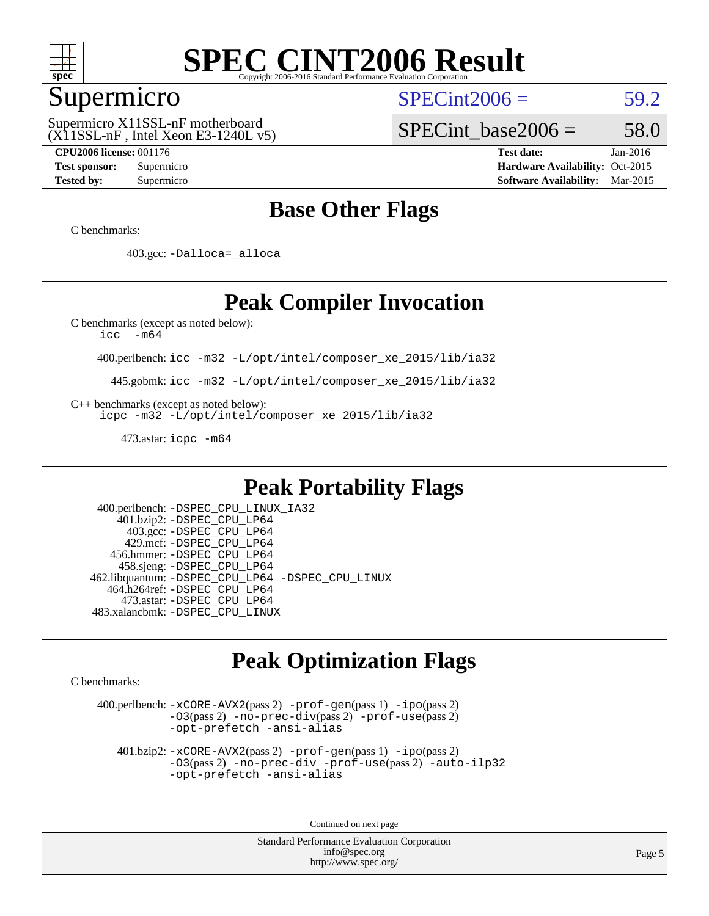

### Supermicro

 $SPECint2006 = 59.2$  $SPECint2006 = 59.2$ 

 $(X11SSL-nF$ , Intel Xeon E3-1240L v5) Supermicro X11SSL-nF motherboard

SPECint base2006 =  $58.0$ 

**[CPU2006 license:](http://www.spec.org/auto/cpu2006/Docs/result-fields.html#CPU2006license)** 001176 **[Test date:](http://www.spec.org/auto/cpu2006/Docs/result-fields.html#Testdate)** Jan-2016 **[Test sponsor:](http://www.spec.org/auto/cpu2006/Docs/result-fields.html#Testsponsor)** Supermicro Supermicro **[Hardware Availability:](http://www.spec.org/auto/cpu2006/Docs/result-fields.html#HardwareAvailability)** Oct-2015 **[Tested by:](http://www.spec.org/auto/cpu2006/Docs/result-fields.html#Testedby)** Supermicro **Supermicro [Software Availability:](http://www.spec.org/auto/cpu2006/Docs/result-fields.html#SoftwareAvailability)** Mar-2015

## **[Base Other Flags](http://www.spec.org/auto/cpu2006/Docs/result-fields.html#BaseOtherFlags)**

[C benchmarks](http://www.spec.org/auto/cpu2006/Docs/result-fields.html#Cbenchmarks):

403.gcc: [-Dalloca=\\_alloca](http://www.spec.org/cpu2006/results/res2016q1/cpu2006-20160206-38988.flags.html#b403.gcc_baseEXTRA_CFLAGS_Dalloca_be3056838c12de2578596ca5467af7f3)

### **[Peak Compiler Invocation](http://www.spec.org/auto/cpu2006/Docs/result-fields.html#PeakCompilerInvocation)**

[C benchmarks \(except as noted below\)](http://www.spec.org/auto/cpu2006/Docs/result-fields.html#Cbenchmarksexceptasnotedbelow):

[icc -m64](http://www.spec.org/cpu2006/results/res2016q1/cpu2006-20160206-38988.flags.html#user_CCpeak_intel_icc_64bit_f346026e86af2a669e726fe758c88044)

400.perlbench: [icc -m32 -L/opt/intel/composer\\_xe\\_2015/lib/ia32](http://www.spec.org/cpu2006/results/res2016q1/cpu2006-20160206-38988.flags.html#user_peakCCLD400_perlbench_intel_icc_011b86df29f8c679b747245588698a4d)

445.gobmk: [icc -m32 -L/opt/intel/composer\\_xe\\_2015/lib/ia32](http://www.spec.org/cpu2006/results/res2016q1/cpu2006-20160206-38988.flags.html#user_peakCCLD445_gobmk_intel_icc_011b86df29f8c679b747245588698a4d)

[C++ benchmarks \(except as noted below\):](http://www.spec.org/auto/cpu2006/Docs/result-fields.html#CXXbenchmarksexceptasnotedbelow)

[icpc -m32 -L/opt/intel/composer\\_xe\\_2015/lib/ia32](http://www.spec.org/cpu2006/results/res2016q1/cpu2006-20160206-38988.flags.html#user_CXXpeak_intel_icpc_c2c99686a1a582c3e0de0b4806b02cea)

473.astar: [icpc -m64](http://www.spec.org/cpu2006/results/res2016q1/cpu2006-20160206-38988.flags.html#user_peakCXXLD473_astar_intel_icpc_64bit_fc66a5337ce925472a5c54ad6a0de310)

## **[Peak Portability Flags](http://www.spec.org/auto/cpu2006/Docs/result-fields.html#PeakPortabilityFlags)**

 400.perlbench: [-DSPEC\\_CPU\\_LINUX\\_IA32](http://www.spec.org/cpu2006/results/res2016q1/cpu2006-20160206-38988.flags.html#b400.perlbench_peakCPORTABILITY_DSPEC_CPU_LINUX_IA32) 401.bzip2: [-DSPEC\\_CPU\\_LP64](http://www.spec.org/cpu2006/results/res2016q1/cpu2006-20160206-38988.flags.html#suite_peakPORTABILITY401_bzip2_DSPEC_CPU_LP64) 403.gcc: [-DSPEC\\_CPU\\_LP64](http://www.spec.org/cpu2006/results/res2016q1/cpu2006-20160206-38988.flags.html#suite_peakPORTABILITY403_gcc_DSPEC_CPU_LP64) 429.mcf: [-DSPEC\\_CPU\\_LP64](http://www.spec.org/cpu2006/results/res2016q1/cpu2006-20160206-38988.flags.html#suite_peakPORTABILITY429_mcf_DSPEC_CPU_LP64) 456.hmmer: [-DSPEC\\_CPU\\_LP64](http://www.spec.org/cpu2006/results/res2016q1/cpu2006-20160206-38988.flags.html#suite_peakPORTABILITY456_hmmer_DSPEC_CPU_LP64) 458.sjeng: [-DSPEC\\_CPU\\_LP64](http://www.spec.org/cpu2006/results/res2016q1/cpu2006-20160206-38988.flags.html#suite_peakPORTABILITY458_sjeng_DSPEC_CPU_LP64) 462.libquantum: [-DSPEC\\_CPU\\_LP64](http://www.spec.org/cpu2006/results/res2016q1/cpu2006-20160206-38988.flags.html#suite_peakPORTABILITY462_libquantum_DSPEC_CPU_LP64) [-DSPEC\\_CPU\\_LINUX](http://www.spec.org/cpu2006/results/res2016q1/cpu2006-20160206-38988.flags.html#b462.libquantum_peakCPORTABILITY_DSPEC_CPU_LINUX) 464.h264ref: [-DSPEC\\_CPU\\_LP64](http://www.spec.org/cpu2006/results/res2016q1/cpu2006-20160206-38988.flags.html#suite_peakPORTABILITY464_h264ref_DSPEC_CPU_LP64) 473.astar: [-DSPEC\\_CPU\\_LP64](http://www.spec.org/cpu2006/results/res2016q1/cpu2006-20160206-38988.flags.html#suite_peakPORTABILITY473_astar_DSPEC_CPU_LP64) 483.xalancbmk: [-DSPEC\\_CPU\\_LINUX](http://www.spec.org/cpu2006/results/res2016q1/cpu2006-20160206-38988.flags.html#b483.xalancbmk_peakCXXPORTABILITY_DSPEC_CPU_LINUX)

## **[Peak Optimization Flags](http://www.spec.org/auto/cpu2006/Docs/result-fields.html#PeakOptimizationFlags)**

[C benchmarks](http://www.spec.org/auto/cpu2006/Docs/result-fields.html#Cbenchmarks):

 400.perlbench: [-xCORE-AVX2](http://www.spec.org/cpu2006/results/res2016q1/cpu2006-20160206-38988.flags.html#user_peakPASS2_CFLAGSPASS2_LDCFLAGS400_perlbench_f-xAVX2_5f5fc0cbe2c9f62c816d3e45806c70d7)(pass 2) [-prof-gen](http://www.spec.org/cpu2006/results/res2016q1/cpu2006-20160206-38988.flags.html#user_peakPASS1_CFLAGSPASS1_LDCFLAGS400_perlbench_prof_gen_e43856698f6ca7b7e442dfd80e94a8fc)(pass 1) [-ipo](http://www.spec.org/cpu2006/results/res2016q1/cpu2006-20160206-38988.flags.html#user_peakPASS2_CFLAGSPASS2_LDCFLAGS400_perlbench_f-ipo)(pass 2) [-O3](http://www.spec.org/cpu2006/results/res2016q1/cpu2006-20160206-38988.flags.html#user_peakPASS2_CFLAGSPASS2_LDCFLAGS400_perlbench_f-O3)(pass 2) [-no-prec-div](http://www.spec.org/cpu2006/results/res2016q1/cpu2006-20160206-38988.flags.html#user_peakPASS2_CFLAGSPASS2_LDCFLAGS400_perlbench_f-no-prec-div)(pass 2) [-prof-use](http://www.spec.org/cpu2006/results/res2016q1/cpu2006-20160206-38988.flags.html#user_peakPASS2_CFLAGSPASS2_LDCFLAGS400_perlbench_prof_use_bccf7792157ff70d64e32fe3e1250b55)(pass 2) [-opt-prefetch](http://www.spec.org/cpu2006/results/res2016q1/cpu2006-20160206-38988.flags.html#user_peakCOPTIMIZE400_perlbench_f-opt-prefetch) [-ansi-alias](http://www.spec.org/cpu2006/results/res2016q1/cpu2006-20160206-38988.flags.html#user_peakCOPTIMIZE400_perlbench_f-ansi-alias)

 401.bzip2: [-xCORE-AVX2](http://www.spec.org/cpu2006/results/res2016q1/cpu2006-20160206-38988.flags.html#user_peakPASS2_CFLAGSPASS2_LDCFLAGS401_bzip2_f-xAVX2_5f5fc0cbe2c9f62c816d3e45806c70d7)(pass 2) [-prof-gen](http://www.spec.org/cpu2006/results/res2016q1/cpu2006-20160206-38988.flags.html#user_peakPASS1_CFLAGSPASS1_LDCFLAGS401_bzip2_prof_gen_e43856698f6ca7b7e442dfd80e94a8fc)(pass 1) [-ipo](http://www.spec.org/cpu2006/results/res2016q1/cpu2006-20160206-38988.flags.html#user_peakPASS2_CFLAGSPASS2_LDCFLAGS401_bzip2_f-ipo)(pass 2) [-O3](http://www.spec.org/cpu2006/results/res2016q1/cpu2006-20160206-38988.flags.html#user_peakPASS2_CFLAGSPASS2_LDCFLAGS401_bzip2_f-O3)(pass 2) [-no-prec-div](http://www.spec.org/cpu2006/results/res2016q1/cpu2006-20160206-38988.flags.html#user_peakCOPTIMIZEPASS2_CFLAGSPASS2_LDCFLAGS401_bzip2_f-no-prec-div) [-prof-use](http://www.spec.org/cpu2006/results/res2016q1/cpu2006-20160206-38988.flags.html#user_peakPASS2_CFLAGSPASS2_LDCFLAGS401_bzip2_prof_use_bccf7792157ff70d64e32fe3e1250b55)(pass 2) [-auto-ilp32](http://www.spec.org/cpu2006/results/res2016q1/cpu2006-20160206-38988.flags.html#user_peakCOPTIMIZE401_bzip2_f-auto-ilp32) [-opt-prefetch](http://www.spec.org/cpu2006/results/res2016q1/cpu2006-20160206-38988.flags.html#user_peakCOPTIMIZE401_bzip2_f-opt-prefetch) [-ansi-alias](http://www.spec.org/cpu2006/results/res2016q1/cpu2006-20160206-38988.flags.html#user_peakCOPTIMIZE401_bzip2_f-ansi-alias)

Continued on next page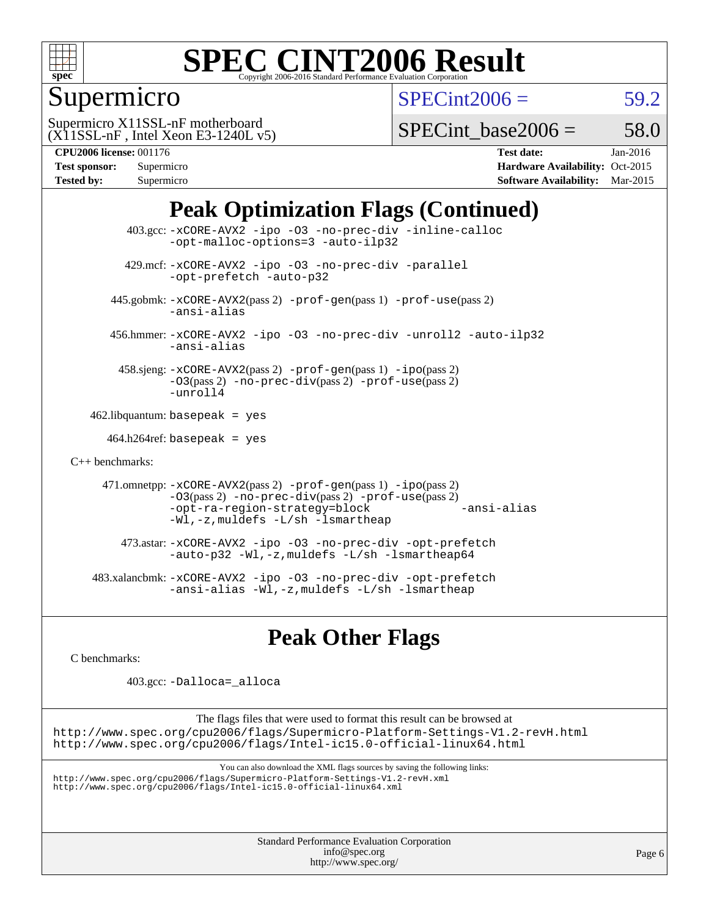

Supermicro

 $SPECint2006 = 59.2$  $SPECint2006 = 59.2$ 

 $(X11SSL-nF$ , Intel Xeon E3-1240L v5) Supermicro X11SSL-nF motherboard

SPECint base2006 =  $58.0$ 

| <b>Test sponsor:</b> | Supermicro |
|----------------------|------------|
| <b>Tested by:</b>    | Supermicro |

**[CPU2006 license:](http://www.spec.org/auto/cpu2006/Docs/result-fields.html#CPU2006license)** 001176 **[Test date:](http://www.spec.org/auto/cpu2006/Docs/result-fields.html#Testdate)** Jan-2016 **[Hardware Availability:](http://www.spec.org/auto/cpu2006/Docs/result-fields.html#HardwareAvailability)** Oct-2015 **[Software Availability:](http://www.spec.org/auto/cpu2006/Docs/result-fields.html#SoftwareAvailability)** Mar-2015

## **[Peak Optimization Flags \(Continued\)](http://www.spec.org/auto/cpu2006/Docs/result-fields.html#PeakOptimizationFlags)**

 403.gcc: [-xCORE-AVX2](http://www.spec.org/cpu2006/results/res2016q1/cpu2006-20160206-38988.flags.html#user_peakCOPTIMIZE403_gcc_f-xAVX2_5f5fc0cbe2c9f62c816d3e45806c70d7) [-ipo](http://www.spec.org/cpu2006/results/res2016q1/cpu2006-20160206-38988.flags.html#user_peakCOPTIMIZE403_gcc_f-ipo) [-O3](http://www.spec.org/cpu2006/results/res2016q1/cpu2006-20160206-38988.flags.html#user_peakCOPTIMIZE403_gcc_f-O3) [-no-prec-div](http://www.spec.org/cpu2006/results/res2016q1/cpu2006-20160206-38988.flags.html#user_peakCOPTIMIZE403_gcc_f-no-prec-div) [-inline-calloc](http://www.spec.org/cpu2006/results/res2016q1/cpu2006-20160206-38988.flags.html#user_peakCOPTIMIZE403_gcc_f-inline-calloc) [-opt-malloc-options=3](http://www.spec.org/cpu2006/results/res2016q1/cpu2006-20160206-38988.flags.html#user_peakCOPTIMIZE403_gcc_f-opt-malloc-options_13ab9b803cf986b4ee62f0a5998c2238) [-auto-ilp32](http://www.spec.org/cpu2006/results/res2016q1/cpu2006-20160206-38988.flags.html#user_peakCOPTIMIZE403_gcc_f-auto-ilp32) 429.mcf: [-xCORE-AVX2](http://www.spec.org/cpu2006/results/res2016q1/cpu2006-20160206-38988.flags.html#user_peakCOPTIMIZE429_mcf_f-xAVX2_5f5fc0cbe2c9f62c816d3e45806c70d7) [-ipo](http://www.spec.org/cpu2006/results/res2016q1/cpu2006-20160206-38988.flags.html#user_peakCOPTIMIZE429_mcf_f-ipo) [-O3](http://www.spec.org/cpu2006/results/res2016q1/cpu2006-20160206-38988.flags.html#user_peakCOPTIMIZE429_mcf_f-O3) [-no-prec-div](http://www.spec.org/cpu2006/results/res2016q1/cpu2006-20160206-38988.flags.html#user_peakCOPTIMIZE429_mcf_f-no-prec-div) [-parallel](http://www.spec.org/cpu2006/results/res2016q1/cpu2006-20160206-38988.flags.html#user_peakCOPTIMIZE429_mcf_f-parallel) [-opt-prefetch](http://www.spec.org/cpu2006/results/res2016q1/cpu2006-20160206-38988.flags.html#user_peakCOPTIMIZE429_mcf_f-opt-prefetch) [-auto-p32](http://www.spec.org/cpu2006/results/res2016q1/cpu2006-20160206-38988.flags.html#user_peakCOPTIMIZE429_mcf_f-auto-p32) 445.gobmk: [-xCORE-AVX2](http://www.spec.org/cpu2006/results/res2016q1/cpu2006-20160206-38988.flags.html#user_peakPASS2_CFLAGSPASS2_LDCFLAGS445_gobmk_f-xAVX2_5f5fc0cbe2c9f62c816d3e45806c70d7)(pass 2) [-prof-gen](http://www.spec.org/cpu2006/results/res2016q1/cpu2006-20160206-38988.flags.html#user_peakPASS1_CFLAGSPASS1_LDCFLAGS445_gobmk_prof_gen_e43856698f6ca7b7e442dfd80e94a8fc)(pass 1) [-prof-use](http://www.spec.org/cpu2006/results/res2016q1/cpu2006-20160206-38988.flags.html#user_peakPASS2_CFLAGSPASS2_LDCFLAGS445_gobmk_prof_use_bccf7792157ff70d64e32fe3e1250b55)(pass 2) [-ansi-alias](http://www.spec.org/cpu2006/results/res2016q1/cpu2006-20160206-38988.flags.html#user_peakCOPTIMIZE445_gobmk_f-ansi-alias) 456.hmmer: [-xCORE-AVX2](http://www.spec.org/cpu2006/results/res2016q1/cpu2006-20160206-38988.flags.html#user_peakCOPTIMIZE456_hmmer_f-xAVX2_5f5fc0cbe2c9f62c816d3e45806c70d7) [-ipo](http://www.spec.org/cpu2006/results/res2016q1/cpu2006-20160206-38988.flags.html#user_peakCOPTIMIZE456_hmmer_f-ipo) [-O3](http://www.spec.org/cpu2006/results/res2016q1/cpu2006-20160206-38988.flags.html#user_peakCOPTIMIZE456_hmmer_f-O3) [-no-prec-div](http://www.spec.org/cpu2006/results/res2016q1/cpu2006-20160206-38988.flags.html#user_peakCOPTIMIZE456_hmmer_f-no-prec-div) [-unroll2](http://www.spec.org/cpu2006/results/res2016q1/cpu2006-20160206-38988.flags.html#user_peakCOPTIMIZE456_hmmer_f-unroll_784dae83bebfb236979b41d2422d7ec2) [-auto-ilp32](http://www.spec.org/cpu2006/results/res2016q1/cpu2006-20160206-38988.flags.html#user_peakCOPTIMIZE456_hmmer_f-auto-ilp32) [-ansi-alias](http://www.spec.org/cpu2006/results/res2016q1/cpu2006-20160206-38988.flags.html#user_peakCOPTIMIZE456_hmmer_f-ansi-alias) 458.sjeng: [-xCORE-AVX2](http://www.spec.org/cpu2006/results/res2016q1/cpu2006-20160206-38988.flags.html#user_peakPASS2_CFLAGSPASS2_LDCFLAGS458_sjeng_f-xAVX2_5f5fc0cbe2c9f62c816d3e45806c70d7)(pass 2) [-prof-gen](http://www.spec.org/cpu2006/results/res2016q1/cpu2006-20160206-38988.flags.html#user_peakPASS1_CFLAGSPASS1_LDCFLAGS458_sjeng_prof_gen_e43856698f6ca7b7e442dfd80e94a8fc)(pass 1) [-ipo](http://www.spec.org/cpu2006/results/res2016q1/cpu2006-20160206-38988.flags.html#user_peakPASS2_CFLAGSPASS2_LDCFLAGS458_sjeng_f-ipo)(pass 2) [-O3](http://www.spec.org/cpu2006/results/res2016q1/cpu2006-20160206-38988.flags.html#user_peakPASS2_CFLAGSPASS2_LDCFLAGS458_sjeng_f-O3)(pass 2) [-no-prec-div](http://www.spec.org/cpu2006/results/res2016q1/cpu2006-20160206-38988.flags.html#user_peakPASS2_CFLAGSPASS2_LDCFLAGS458_sjeng_f-no-prec-div)(pass 2) [-prof-use](http://www.spec.org/cpu2006/results/res2016q1/cpu2006-20160206-38988.flags.html#user_peakPASS2_CFLAGSPASS2_LDCFLAGS458_sjeng_prof_use_bccf7792157ff70d64e32fe3e1250b55)(pass 2) [-unroll4](http://www.spec.org/cpu2006/results/res2016q1/cpu2006-20160206-38988.flags.html#user_peakCOPTIMIZE458_sjeng_f-unroll_4e5e4ed65b7fd20bdcd365bec371b81f)  $462$ .libquantum: basepeak = yes 464.h264ref: basepeak = yes [C++ benchmarks:](http://www.spec.org/auto/cpu2006/Docs/result-fields.html#CXXbenchmarks) 471.omnetpp: [-xCORE-AVX2](http://www.spec.org/cpu2006/results/res2016q1/cpu2006-20160206-38988.flags.html#user_peakPASS2_CXXFLAGSPASS2_LDCXXFLAGS471_omnetpp_f-xAVX2_5f5fc0cbe2c9f62c816d3e45806c70d7)(pass 2) [-prof-gen](http://www.spec.org/cpu2006/results/res2016q1/cpu2006-20160206-38988.flags.html#user_peakPASS1_CXXFLAGSPASS1_LDCXXFLAGS471_omnetpp_prof_gen_e43856698f6ca7b7e442dfd80e94a8fc)(pass 1) [-ipo](http://www.spec.org/cpu2006/results/res2016q1/cpu2006-20160206-38988.flags.html#user_peakPASS2_CXXFLAGSPASS2_LDCXXFLAGS471_omnetpp_f-ipo)(pass 2) [-O3](http://www.spec.org/cpu2006/results/res2016q1/cpu2006-20160206-38988.flags.html#user_peakPASS2_CXXFLAGSPASS2_LDCXXFLAGS471_omnetpp_f-O3)(pass 2) [-no-prec-div](http://www.spec.org/cpu2006/results/res2016q1/cpu2006-20160206-38988.flags.html#user_peakPASS2_CXXFLAGSPASS2_LDCXXFLAGS471_omnetpp_f-no-prec-div)(pass 2) [-prof-use](http://www.spec.org/cpu2006/results/res2016q1/cpu2006-20160206-38988.flags.html#user_peakPASS2_CXXFLAGSPASS2_LDCXXFLAGS471_omnetpp_prof_use_bccf7792157ff70d64e32fe3e1250b55)(pass 2) [-opt-ra-region-strategy=block](http://www.spec.org/cpu2006/results/res2016q1/cpu2006-20160206-38988.flags.html#user_peakCXXOPTIMIZE471_omnetpp_f-opt-ra-region-strategy_5382940c29ea30302d682fc74bfe0147) [-ansi-alias](http://www.spec.org/cpu2006/results/res2016q1/cpu2006-20160206-38988.flags.html#user_peakCXXOPTIMIZE471_omnetpp_f-ansi-alias) [-Wl,-z,muldefs](http://www.spec.org/cpu2006/results/res2016q1/cpu2006-20160206-38988.flags.html#user_peakEXTRA_LDFLAGS471_omnetpp_link_force_multiple1_74079c344b956b9658436fd1b6dd3a8a) [-L/sh -lsmartheap](http://www.spec.org/cpu2006/results/res2016q1/cpu2006-20160206-38988.flags.html#user_peakEXTRA_LIBS471_omnetpp_SmartHeap_32f6c82aa1ed9c52345d30cf6e4a0499) 473.astar: [-xCORE-AVX2](http://www.spec.org/cpu2006/results/res2016q1/cpu2006-20160206-38988.flags.html#user_peakCXXOPTIMIZE473_astar_f-xAVX2_5f5fc0cbe2c9f62c816d3e45806c70d7) [-ipo](http://www.spec.org/cpu2006/results/res2016q1/cpu2006-20160206-38988.flags.html#user_peakCXXOPTIMIZE473_astar_f-ipo) [-O3](http://www.spec.org/cpu2006/results/res2016q1/cpu2006-20160206-38988.flags.html#user_peakCXXOPTIMIZE473_astar_f-O3) [-no-prec-div](http://www.spec.org/cpu2006/results/res2016q1/cpu2006-20160206-38988.flags.html#user_peakCXXOPTIMIZE473_astar_f-no-prec-div) [-opt-prefetch](http://www.spec.org/cpu2006/results/res2016q1/cpu2006-20160206-38988.flags.html#user_peakCXXOPTIMIZE473_astar_f-opt-prefetch) [-auto-p32](http://www.spec.org/cpu2006/results/res2016q1/cpu2006-20160206-38988.flags.html#user_peakCXXOPTIMIZE473_astar_f-auto-p32) [-Wl,-z,muldefs](http://www.spec.org/cpu2006/results/res2016q1/cpu2006-20160206-38988.flags.html#user_peakEXTRA_LDFLAGS473_astar_link_force_multiple1_74079c344b956b9658436fd1b6dd3a8a) [-L/sh -lsmartheap64](http://www.spec.org/cpu2006/results/res2016q1/cpu2006-20160206-38988.flags.html#user_peakEXTRA_LIBS473_astar_SmartHeap64_ed4ef857ce90951921efb0d91eb88472) 483.xalancbmk: [-xCORE-AVX2](http://www.spec.org/cpu2006/results/res2016q1/cpu2006-20160206-38988.flags.html#user_peakCXXOPTIMIZE483_xalancbmk_f-xAVX2_5f5fc0cbe2c9f62c816d3e45806c70d7) [-ipo](http://www.spec.org/cpu2006/results/res2016q1/cpu2006-20160206-38988.flags.html#user_peakCXXOPTIMIZE483_xalancbmk_f-ipo) [-O3](http://www.spec.org/cpu2006/results/res2016q1/cpu2006-20160206-38988.flags.html#user_peakCXXOPTIMIZE483_xalancbmk_f-O3) [-no-prec-div](http://www.spec.org/cpu2006/results/res2016q1/cpu2006-20160206-38988.flags.html#user_peakCXXOPTIMIZE483_xalancbmk_f-no-prec-div) [-opt-prefetch](http://www.spec.org/cpu2006/results/res2016q1/cpu2006-20160206-38988.flags.html#user_peakCXXOPTIMIZE483_xalancbmk_f-opt-prefetch) [-ansi-alias](http://www.spec.org/cpu2006/results/res2016q1/cpu2006-20160206-38988.flags.html#user_peakCXXOPTIMIZE483_xalancbmk_f-ansi-alias) [-Wl,-z,muldefs](http://www.spec.org/cpu2006/results/res2016q1/cpu2006-20160206-38988.flags.html#user_peakEXTRA_LDFLAGS483_xalancbmk_link_force_multiple1_74079c344b956b9658436fd1b6dd3a8a) [-L/sh -lsmartheap](http://www.spec.org/cpu2006/results/res2016q1/cpu2006-20160206-38988.flags.html#user_peakEXTRA_LIBS483_xalancbmk_SmartHeap_32f6c82aa1ed9c52345d30cf6e4a0499)

## **[Peak Other Flags](http://www.spec.org/auto/cpu2006/Docs/result-fields.html#PeakOtherFlags)**

[C benchmarks](http://www.spec.org/auto/cpu2006/Docs/result-fields.html#Cbenchmarks):

403.gcc: [-Dalloca=\\_alloca](http://www.spec.org/cpu2006/results/res2016q1/cpu2006-20160206-38988.flags.html#b403.gcc_peakEXTRA_CFLAGS_Dalloca_be3056838c12de2578596ca5467af7f3)

The flags files that were used to format this result can be browsed at <http://www.spec.org/cpu2006/flags/Supermicro-Platform-Settings-V1.2-revH.html> <http://www.spec.org/cpu2006/flags/Intel-ic15.0-official-linux64.html>

You can also download the XML flags sources by saving the following links: <http://www.spec.org/cpu2006/flags/Supermicro-Platform-Settings-V1.2-revH.xml> <http://www.spec.org/cpu2006/flags/Intel-ic15.0-official-linux64.xml>